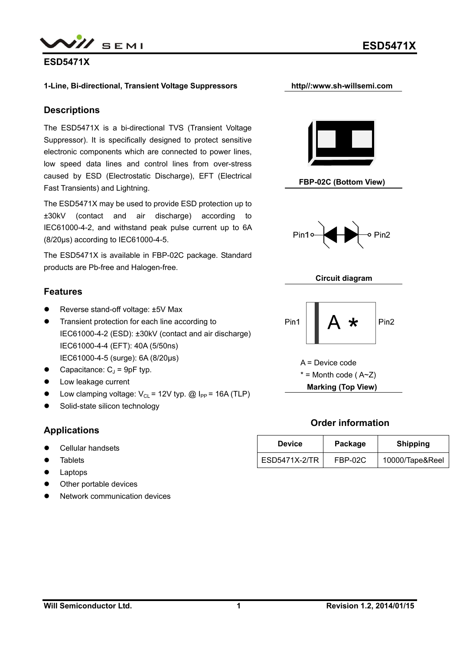

#### **1-Line, Bi-directional, Transient Voltage Suppressors**

## **Descriptions**

The ESD5471X is a bi-directional TVS (Transient Voltage Suppressor). It is specifically designed to protect sensitive electronic components which are connected to power lines, low speed data lines and control lines from over-stress caused by ESD (Electrostatic Discharge), EFT (Electrical Fast Transients) and Lightning.

The ESD5471X may be used to provide ESD protection up to ±30kV (contact and air discharge) according to IEC61000-4-2, and withstand peak pulse current up to 6A (8/20μs) according to IEC61000-4-5.

The ESD5471X is available in FBP-02C package. Standard products are Pb-free and Halogen-free.

## **Features**

- Reverse stand-off voltage: ±5V Max
- **•** Transient protection for each line according to IEC61000-4-2 (ESD): ±30kV (contact and air discharge) IEC61000-4-4 (EFT): 40A (5/50ns) IEC61000-4-5 (surge): 6A (8/20μs)
- Capacitance:  $C_J$  = 9pF typ.
- **•** Low leakage current
- Using Low clamping voltage:  $V_{\text{Cl}} = 12V$  typ. @  $I_{\text{PP}} = 16A$  (TLP)
- Solid-state silicon technology

## **Applications**

- **•** Cellular handsets
- **Tablets**
- Laptops
- Other portable devices
- Network communication devices



**http//:www.sh-willsemi.com** 

### **Order information**

| <b>Device</b> | Package | <b>Shipping</b> |
|---------------|---------|-----------------|
| ESD5471X-2/TR | FBP-02C | 10000/Tape&Reel |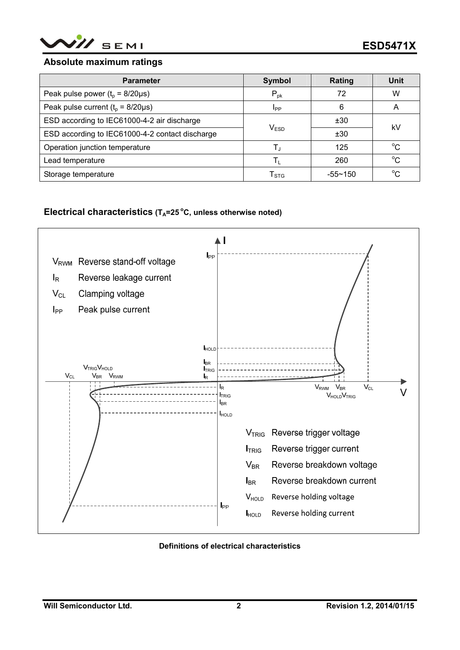

### **Absolute maximum ratings**

| <b>Parameter</b>                                | Symbol                    | Rating      | Unit        |  |
|-------------------------------------------------|---------------------------|-------------|-------------|--|
| Peak pulse power $(t_p = 8/20 \mu s)$           | $P_{\text{pk}}$           | 72          | W           |  |
| Peak pulse current $(t_p = 8/20 \mu s)$         | I <sub>PP</sub>           | 6           | A           |  |
| ESD according to IEC61000-4-2 air discharge     |                           | ±30         | kV          |  |
| ESD according to IEC61000-4-2 contact discharge | V <sub>ESD</sub>          | ±30         |             |  |
| Operation junction temperature                  | Τ.                        | 125         | $^{\circ}C$ |  |
| Lead temperature                                | Tı                        | 260         | $^{\circ}C$ |  |
| Storage temperature                             | $\mathsf{T}_{\text{STG}}$ | $-55 - 150$ | $^{\circ}C$ |  |

## Electrical characteristics (T<sub>A</sub>=25 °C, unless otherwise noted)



#### **Definitions of electrical characteristics**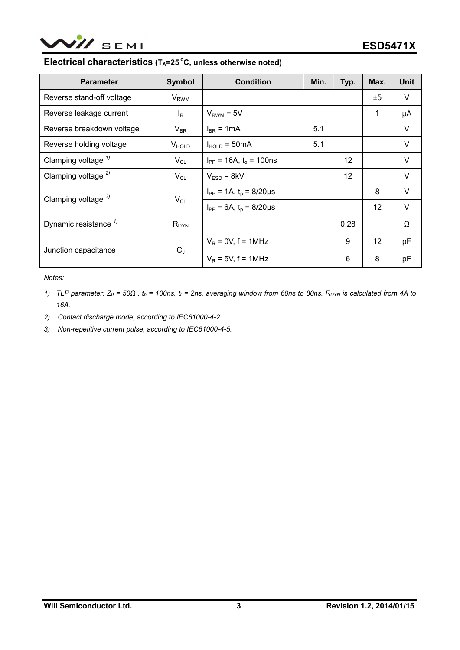

## Electrical characteristics (T<sub>A</sub>=25 °C, unless otherwise noted)

| <b>Parameter</b>                 | <b>Symbol</b>              | <b>Condition</b>                   | Min. | Typ.              | Max. | <b>Unit</b> |
|----------------------------------|----------------------------|------------------------------------|------|-------------------|------|-------------|
| Reverse stand-off voltage        | $V_{RWM}$                  |                                    |      |                   | ±5   | V           |
| Reverse leakage current          | $I_R$                      | $VRWM = 5V$                        |      |                   | 1    | μA          |
| Reverse breakdown voltage        | $\mathsf{V}_{\mathsf{BR}}$ | $I_{BR}$ = 1mA                     | 5.1  |                   |      | V           |
| Reverse holding voltage          | V <sub>HOLD</sub>          | $I_{HOLD} = 50mA$                  | 5.1  |                   |      | V           |
| Clamping voltage $\frac{1}{2}$   | $V_{CL}$                   | $I_{PP} = 16A$ , $t_p = 100$ ns    |      | $12 \overline{ }$ |      | V           |
| Clamping voltage $2$             | $V_{CL}$                   | $VESD = 8kV$                       |      | 12                |      | V           |
| Clamping voltage $3$<br>$V_{CL}$ |                            | $I_{PP} = 1A$ , $t_p = 8/20 \mu s$ |      |                   | 8    | V           |
|                                  |                            | $I_{PP} = 6A$ , $t_p = 8/20 \mu s$ |      |                   | 12   | V           |
| Dynamic resistance $\frac{1}{1}$ | $R_{DYN}$                  |                                    |      | 0.28              |      | Ω           |
| Junction capacitance             | $C_{J}$                    | $V_R$ = 0V, f = 1MHz               |      | 9                 | 12   | pF          |
|                                  |                            | $V_R$ = 5V, f = 1MHz               |      | 6                 | 8    | pF          |

*Notes:* 

*1)* TLP parameter:  $Z_0 = 50\Omega$ ,  $t_p = 100$ ns,  $t_r = 2$ ns, averaging window from 60ns to 80ns. R<sub>DYN</sub> is calculated from 4A to *16A.* 

*2) Contact discharge mode, according to IEC61000-4-2.* 

*3) Non-repetitive current pulse, according to IEC61000-4-5.*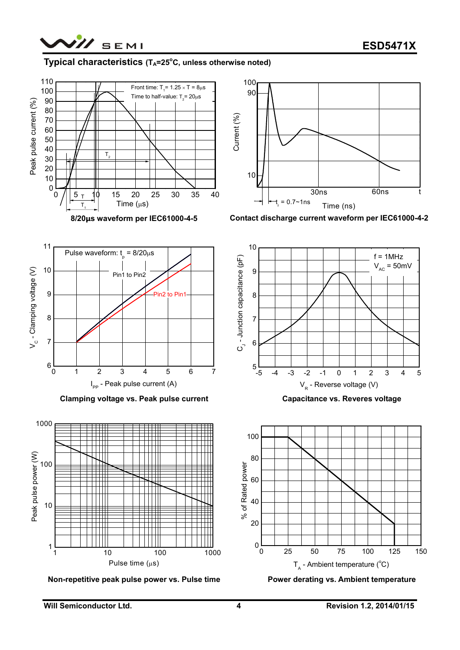

### **Typical characteristics** (T<sub>A</sub>=25°C, unless otherwise noted)

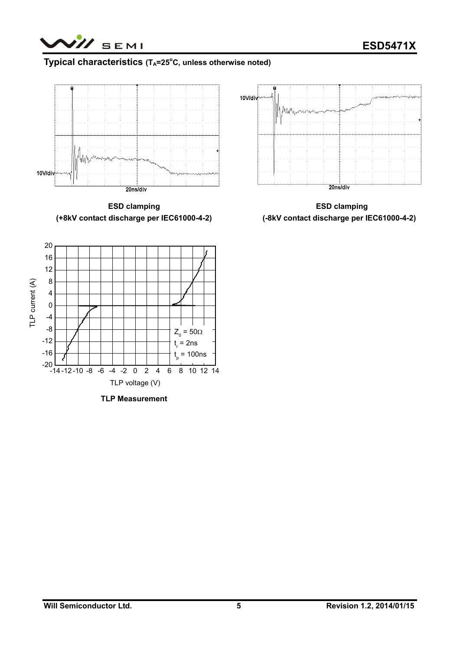

# **ESD5471X**

## Typical characteristics (T<sub>A</sub>=25<sup>°</sup>C, unless otherwise noted)



**ESD clamping (+8kV contact discharge per IEC61000-4-2)** 



**TLP Measurement** 



 **ESD clamping (-8kV contact discharge per IEC61000-4-2)**